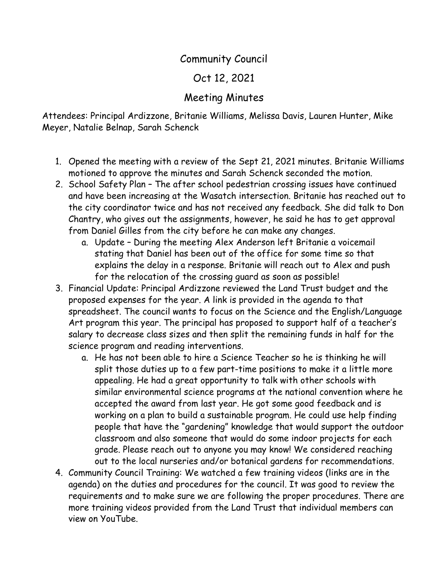## Community Council

## Oct 12, 2021

## Meeting Minutes

Attendees: Principal Ardizzone, Britanie Williams, Melissa Davis, Lauren Hunter, Mike Meyer, Natalie Belnap, Sarah Schenck

- 1. Opened the meeting with a review of the Sept 21, 2021 minutes. Britanie Williams motioned to approve the minutes and Sarah Schenck seconded the motion.
- 2. School Safety Plan The after school pedestrian crossing issues have continued and have been increasing at the Wasatch intersection. Britanie has reached out to the city coordinator twice and has not received any feedback. She did talk to Don Chantry, who gives out the assignments, however, he said he has to get approval from Daniel Gilles from the city before he can make any changes.
	- a. Update During the meeting Alex Anderson left Britanie a voicemail stating that Daniel has been out of the office for some time so that explains the delay in a response. Britanie will reach out to Alex and push for the relocation of the crossing guard as soon as possible!
- 3. Financial Update: Principal Ardizzone reviewed the Land Trust budget and the proposed expenses for the year. A link is provided in the agenda to that spreadsheet. The council wants to focus on the Science and the English/Language Art program this year. The principal has proposed to support half of a teacher's salary to decrease class sizes and then split the remaining funds in half for the science program and reading interventions.
	- a. He has not been able to hire a Science Teacher so he is thinking he will split those duties up to a few part-time positions to make it a little more appealing. He had a great opportunity to talk with other schools with similar environmental science programs at the national convention where he accepted the award from last year. He got some good feedback and is working on a plan to build a sustainable program. He could use help finding people that have the "gardening" knowledge that would support the outdoor classroom and also someone that would do some indoor projects for each grade. Please reach out to anyone you may know! We considered reaching out to the local nurseries and/or botanical gardens for recommendations.
- 4. Community Council Training: We watched a few training videos (links are in the agenda) on the duties and procedures for the council. It was good to review the requirements and to make sure we are following the proper procedures. There are more training videos provided from the Land Trust that individual members can view on YouTube.